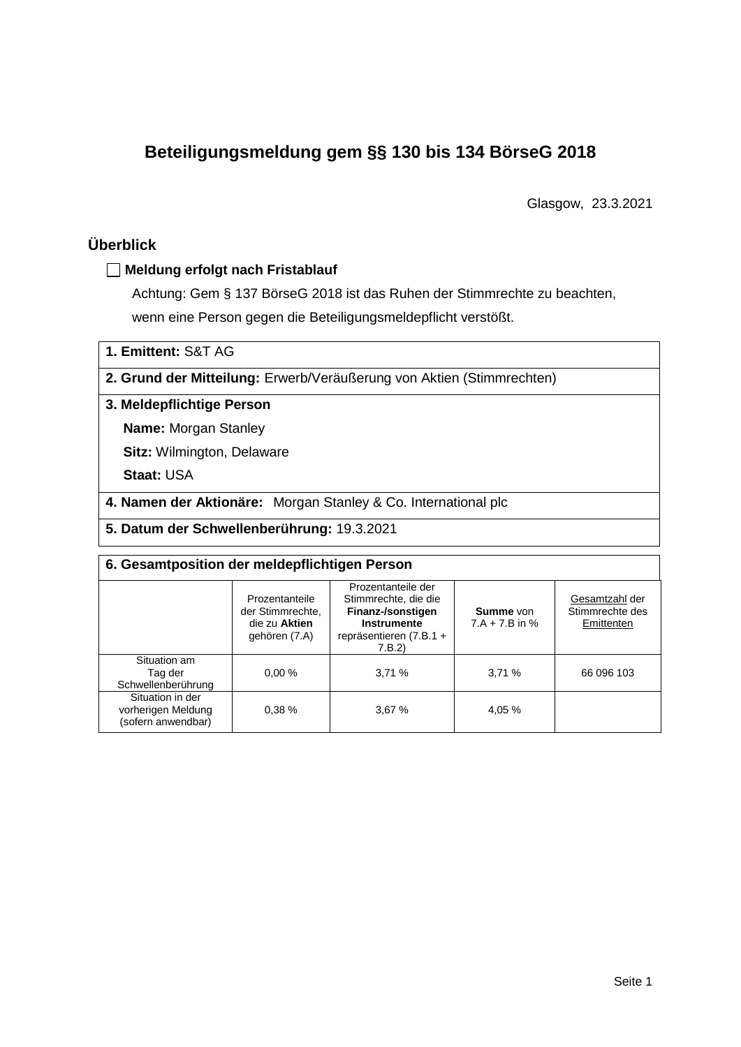# **Beteiligungsmeldung gem §§ 130 bis 134 BörseG 2018**

Glasgow, 23.3.2021

## **Überblick**

#### **Meldung erfolgt nach Fristablauf**

Achtung: Gem § 137 BörseG 2018 ist das Ruhen der Stimmrechte zu beachten, wenn eine Person gegen die Beteiligungsmeldepflicht verstößt.

**1. Emittent:** S&T AG

**2. Grund der Mitteilung:** Erwerb/Veräußerung von Aktien (Stimmrechten)

#### **3. Meldepflichtige Person**

**Name:** Morgan Stanley

**Sitz:** Wilmington, Delaware

**Staat:** USA

**4. Namen der Aktionäre:** Morgan Stanley & Co. International plc

**5. Datum der Schwellenberührung:** 19.3.2021

| 6. Gesamtposition der meldepflichtigen Person                |                                                                      |                                                                                                                      |                               |                                                 |  |  |  |
|--------------------------------------------------------------|----------------------------------------------------------------------|----------------------------------------------------------------------------------------------------------------------|-------------------------------|-------------------------------------------------|--|--|--|
|                                                              | Prozentanteile<br>der Stimmrechte.<br>die zu Aktien<br>gehören (7.A) | Prozentanteile der<br>Stimmrechte, die die<br>Finanz-/sonstigen<br>Instrumente<br>repräsentieren $(7.B.1 +$<br>7.B.2 | Summe von<br>$7.A + 7.B$ in % | Gesamtzahl der<br>Stimmrechte des<br>Emittenten |  |  |  |
| Situation am<br>Tag der<br>Schwellenberührung                | 0.00%                                                                | 3.71%                                                                                                                | 3,71%                         | 66 096 103                                      |  |  |  |
| Situation in der<br>vorherigen Meldung<br>(sofern anwendbar) | 0.38%                                                                | 3.67%                                                                                                                | 4,05 %                        |                                                 |  |  |  |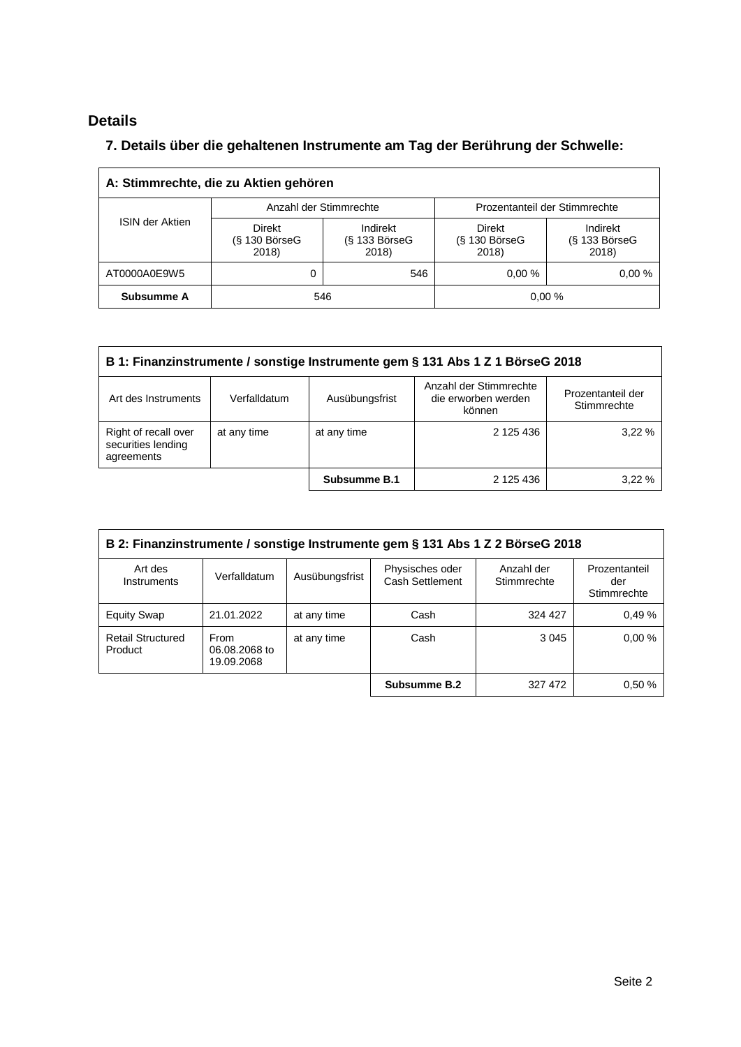## **Details**

### **7. Details über die gehaltenen Instrumente am Tag der Berührung der Schwelle:**

| A: Stimmrechte, die zu Aktien gehören |                                           |                                      |                                           |                                      |  |  |  |
|---------------------------------------|-------------------------------------------|--------------------------------------|-------------------------------------------|--------------------------------------|--|--|--|
|                                       | Anzahl der Stimmrechte                    |                                      | Prozentanteil der Stimmrechte             |                                      |  |  |  |
| <b>ISIN der Aktien</b>                | <b>Direkt</b><br>$(S$ 130 BörseG<br>2018) | Indirekt<br>$(S$ 133 BörseG<br>2018) | <b>Direkt</b><br>$(S$ 130 BörseG<br>2018) | Indirekt<br>$(S$ 133 BörseG<br>2018) |  |  |  |
| AT0000A0E9W5                          | 0                                         | 546                                  | 0.00%                                     | 0.00%                                |  |  |  |
| Subsumme A                            | 546                                       |                                      | 0.00%                                     |                                      |  |  |  |

| B 1: Finanzinstrumente / sonstige Instrumente gem § 131 Abs 1 Z 1 BörseG 2018                       |              |                |                                                         |                                  |  |  |
|-----------------------------------------------------------------------------------------------------|--------------|----------------|---------------------------------------------------------|----------------------------------|--|--|
| Art des Instruments                                                                                 | Verfalldatum | Ausübungsfrist | Anzahl der Stimmrechte<br>die erworben werden<br>können | Prozentanteil der<br>Stimmrechte |  |  |
| Right of recall over<br>at any time<br>at any time<br>2 125 436<br>securities lending<br>agreements |              |                |                                                         |                                  |  |  |
|                                                                                                     |              | Subsumme B.1   | 2 125 436                                               | 3.22%                            |  |  |

| B 2: Finanzinstrumente / sonstige Instrumente gem § 131 Abs 1 Z 2 BörseG 2018 |                                     |                |                                    |                           |                                     |  |
|-------------------------------------------------------------------------------|-------------------------------------|----------------|------------------------------------|---------------------------|-------------------------------------|--|
| Art des<br>Instruments                                                        | Verfalldatum                        | Ausübungsfrist | Physisches oder<br>Cash Settlement | Anzahl der<br>Stimmrechte | Prozentanteil<br>der<br>Stimmrechte |  |
| <b>Equity Swap</b>                                                            | 21.01.2022                          | at any time    | Cash                               | 324 427                   | 0.49%                               |  |
| <b>Retail Structured</b><br>Product                                           | From<br>06.08.2068 to<br>19.09.2068 | at any time    | Cash                               | 3 0 4 5                   | 0.00%                               |  |
|                                                                               |                                     |                | Subsumme B.2                       | 327 472                   | 0.50%                               |  |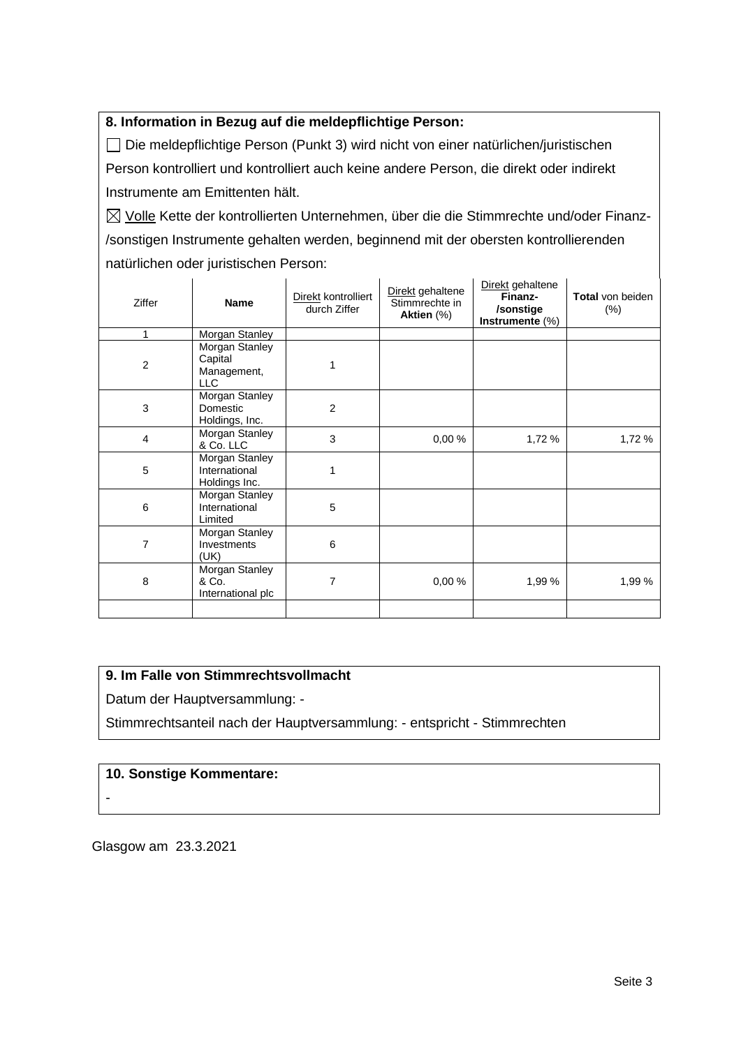#### **8. Information in Bezug auf die meldepflichtige Person:**

Die meldepflichtige Person (Punkt 3) wird nicht von einer natürlichen/juristischen Person kontrolliert und kontrolliert auch keine andere Person, die direkt oder indirekt Instrumente am Emittenten hält.

 $\boxtimes$  Volle Kette der kontrollierten Unternehmen, über die die Stimmrechte und/oder Finanz-/sonstigen Instrumente gehalten werden, beginnend mit der obersten kontrollierenden natürlichen oder juristischen Person:

| Ziffer         | <b>Name</b>                                      | Direkt kontrolliert<br>durch Ziffer | Direkt gehaltene<br>Stimmrechte in<br>Aktien (%) | Direkt gehaltene<br>Finanz-<br>/sonstige<br>Instrumente $(\%)$ | <b>Total</b> von beiden<br>$(\% )$ |
|----------------|--------------------------------------------------|-------------------------------------|--------------------------------------------------|----------------------------------------------------------------|------------------------------------|
| 1              | Morgan Stanley                                   |                                     |                                                  |                                                                |                                    |
| $\overline{2}$ | Morgan Stanley<br>Capital<br>Management,<br>LLC  |                                     |                                                  |                                                                |                                    |
| 3              | Morgan Stanley<br>Domestic<br>Holdings, Inc.     | 2                                   |                                                  |                                                                |                                    |
| 4              | Morgan Stanley<br>& Co. LLC                      | 3                                   | 0,00%                                            | 1,72 %                                                         | 1,72 %                             |
| 5              | Morgan Stanley<br>International<br>Holdings Inc. | 1                                   |                                                  |                                                                |                                    |
| 6              | Morgan Stanley<br>International<br>Limited       | 5                                   |                                                  |                                                                |                                    |
| 7              | Morgan Stanley<br>Investments<br>(UK)            | 6                                   |                                                  |                                                                |                                    |
| 8              | Morgan Stanley<br>& Co.<br>International plc     | 7                                   | 0,00%                                            | 1,99 %                                                         | 1,99 %                             |
|                |                                                  |                                     |                                                  |                                                                |                                    |

#### **9. Im Falle von Stimmrechtsvollmacht**

Datum der Hauptversammlung: -

Stimmrechtsanteil nach der Hauptversammlung: - entspricht - Stimmrechten

#### **10. Sonstige Kommentare:**

-

Glasgow am 23.3.2021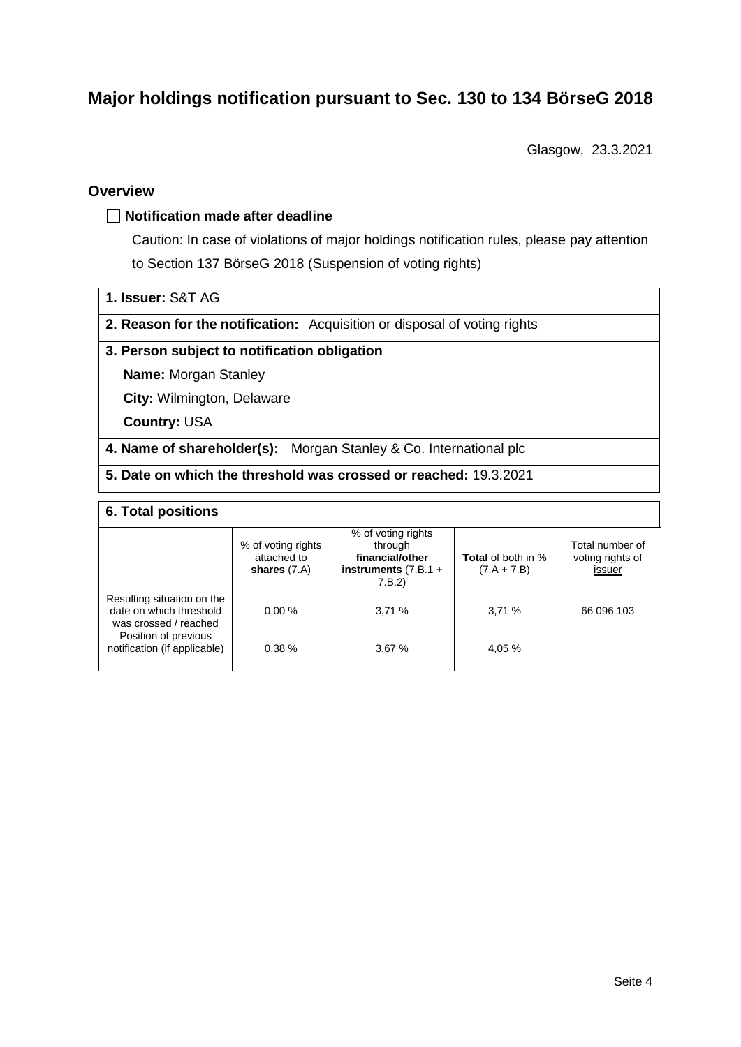# **Major holdings notification pursuant to Sec. 130 to 134 BörseG 2018**

Glasgow, 23.3.2021

#### **Overview**

#### **Notification made after deadline**

Caution: In case of violations of major holdings notification rules, please pay attention to Section 137 BörseG 2018 (Suspension of voting rights)

- **1. Issuer:** S&T AG
- **2. Reason for the notification:** Acquisition or disposal of voting rights

#### **3. Person subject to notification obligation**

**Name:** Morgan Stanley

**City:** Wilmington, Delaware

**Country:** USA

**4. Name of shareholder(s):** Morgan Stanley & Co. International plc

**5. Date on which the threshold was crossed or reached:** 19.3.2021

#### **6. Total positions**

|                                                                                | % of voting rights<br>attached to<br>shares $(7.A)$ | % of voting rights<br>through<br>financial/other<br>instruments $(7.B.1 +$<br>7.B.2 | <b>Total</b> of both in %<br>$(7.A + 7.B)$ | Total number of<br>voting rights of<br>issuer |
|--------------------------------------------------------------------------------|-----------------------------------------------------|-------------------------------------------------------------------------------------|--------------------------------------------|-----------------------------------------------|
| Resulting situation on the<br>date on which threshold<br>was crossed / reached | 0.00%                                               | 3,71%                                                                               | 3,71%                                      | 66 096 103                                    |
| Position of previous<br>notification (if applicable)                           | 0.38%                                               | 3,67%                                                                               | 4.05 %                                     |                                               |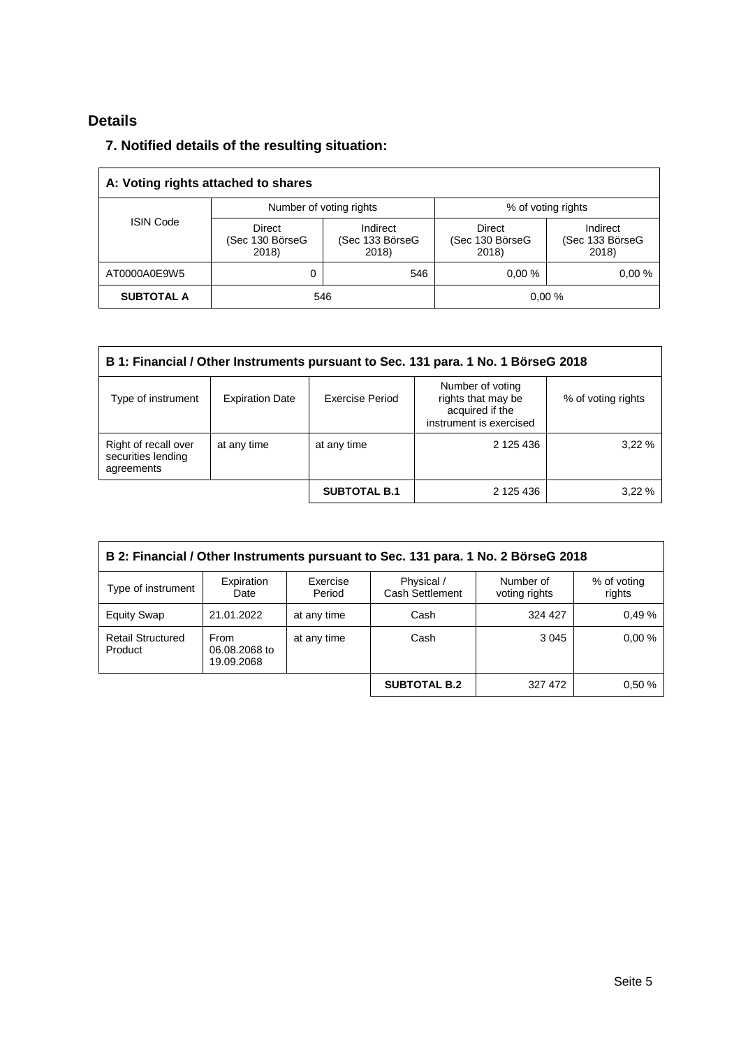## **Details**

### **7. Notified details of the resulting situation:**

| A: Voting rights attached to shares |                                           |                                      |                                    |                                      |  |  |  |
|-------------------------------------|-------------------------------------------|--------------------------------------|------------------------------------|--------------------------------------|--|--|--|
|                                     | Number of voting rights                   |                                      | % of voting rights                 |                                      |  |  |  |
| <b>ISIN Code</b>                    | <b>Direct</b><br>(Sec 130 BörseG<br>2018) | Indirect<br>(Sec 133 BörseG<br>2018) | Direct<br>(Sec 130 BörseG<br>2018) | Indirect<br>(Sec 133 BörseG<br>2018) |  |  |  |
| AT0000A0E9W5                        | 0                                         | 546                                  | 0.00%                              | 0.00%                                |  |  |  |
| <b>SUBTOTAL A</b>                   | 546                                       |                                      |                                    | 0.00%                                |  |  |  |

| B 1: Financial / Other Instruments pursuant to Sec. 131 para. 1 No. 1 BörseG 2018 |                        |                     |                                                                                      |                    |  |  |
|-----------------------------------------------------------------------------------|------------------------|---------------------|--------------------------------------------------------------------------------------|--------------------|--|--|
| Type of instrument                                                                | <b>Expiration Date</b> | Exercise Period     | Number of voting<br>rights that may be<br>acquired if the<br>instrument is exercised | % of voting rights |  |  |
| Right of recall over<br>securities lending<br>agreements                          | at any time            | at any time         | 2 125 436                                                                            | 3.22%              |  |  |
|                                                                                   |                        | <b>SUBTOTAL B.1</b> | 2 125 436                                                                            | 3.22%              |  |  |

| B 2: Financial / Other Instruments pursuant to Sec. 131 para. 1 No. 2 BörseG 2018 |                                     |                    |                               |                            |                       |  |
|-----------------------------------------------------------------------------------|-------------------------------------|--------------------|-------------------------------|----------------------------|-----------------------|--|
| Type of instrument                                                                | Expiration<br>Date                  | Exercise<br>Period | Physical /<br>Cash Settlement | Number of<br>voting rights | % of voting<br>rights |  |
| <b>Equity Swap</b>                                                                | 21.01.2022                          | at any time        | Cash                          | 324 427                    | 0.49%                 |  |
| <b>Retail Structured</b><br>Product                                               | From<br>06.08.2068 to<br>19.09.2068 | at any time        | Cash                          | 3 0 4 5                    | 0.00%                 |  |
|                                                                                   |                                     |                    | <b>SUBTOTAL B.2</b>           | 327 472                    | 0.50%                 |  |